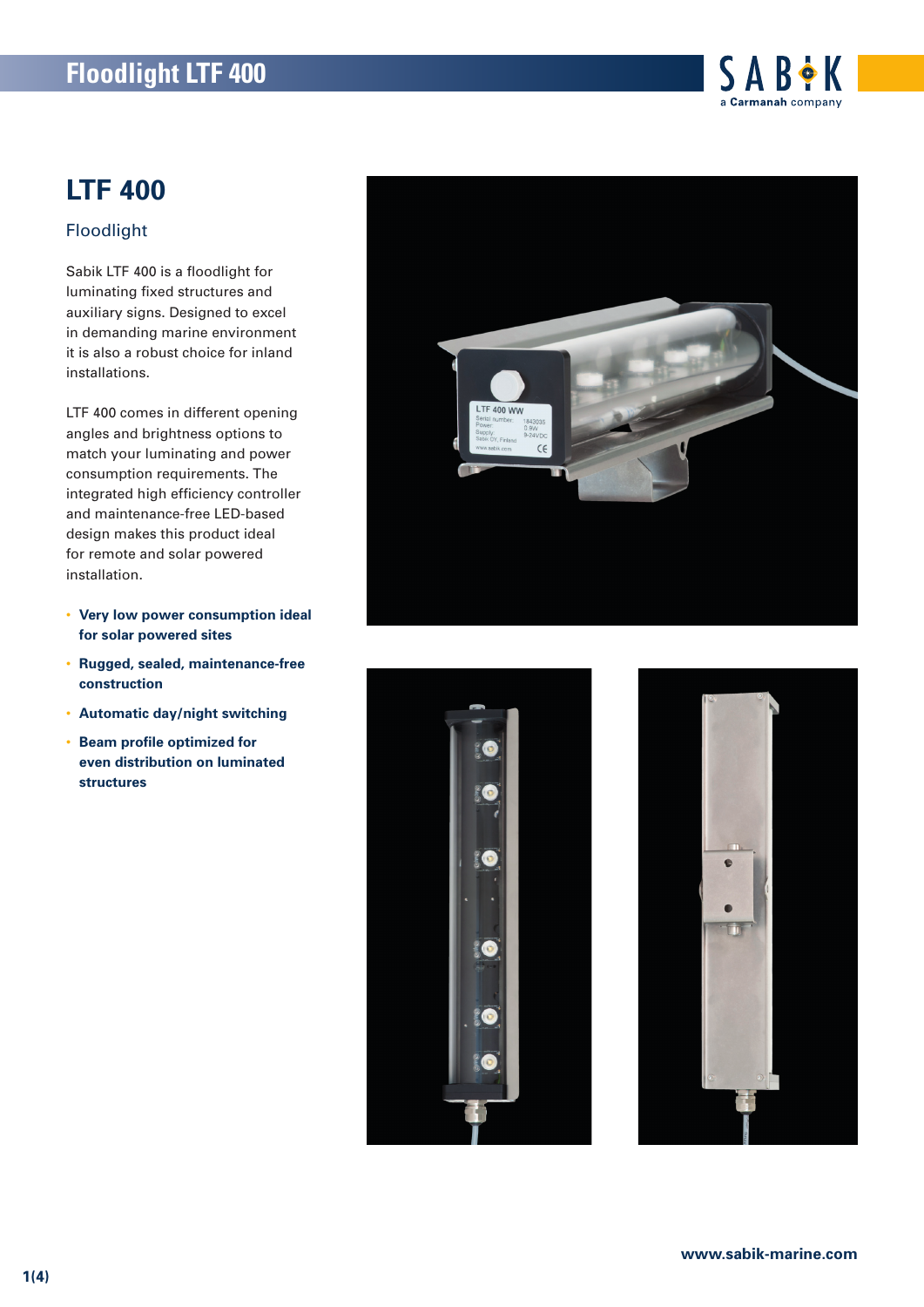

## **LTF 400**

### Floodlight

Sabik LTF 400 is a floodlight for luminating fixed structures and auxiliary signs. Designed to excel in demanding marine environment it is also a robust choice for inland installations.

LTF 400 comes in different opening angles and brightness options to match your luminating and power consumption requirements. The integrated high efficiency controller and maintenance-free LED-based design makes this product ideal for remote and solar powered installation.

- **Very low power consumption ideal for solar powered sites**
- **Rugged, sealed, maintenance-free construction**
- **Automatic day/night switching**
- **Beam profile optimized for even distribution on luminated structures**





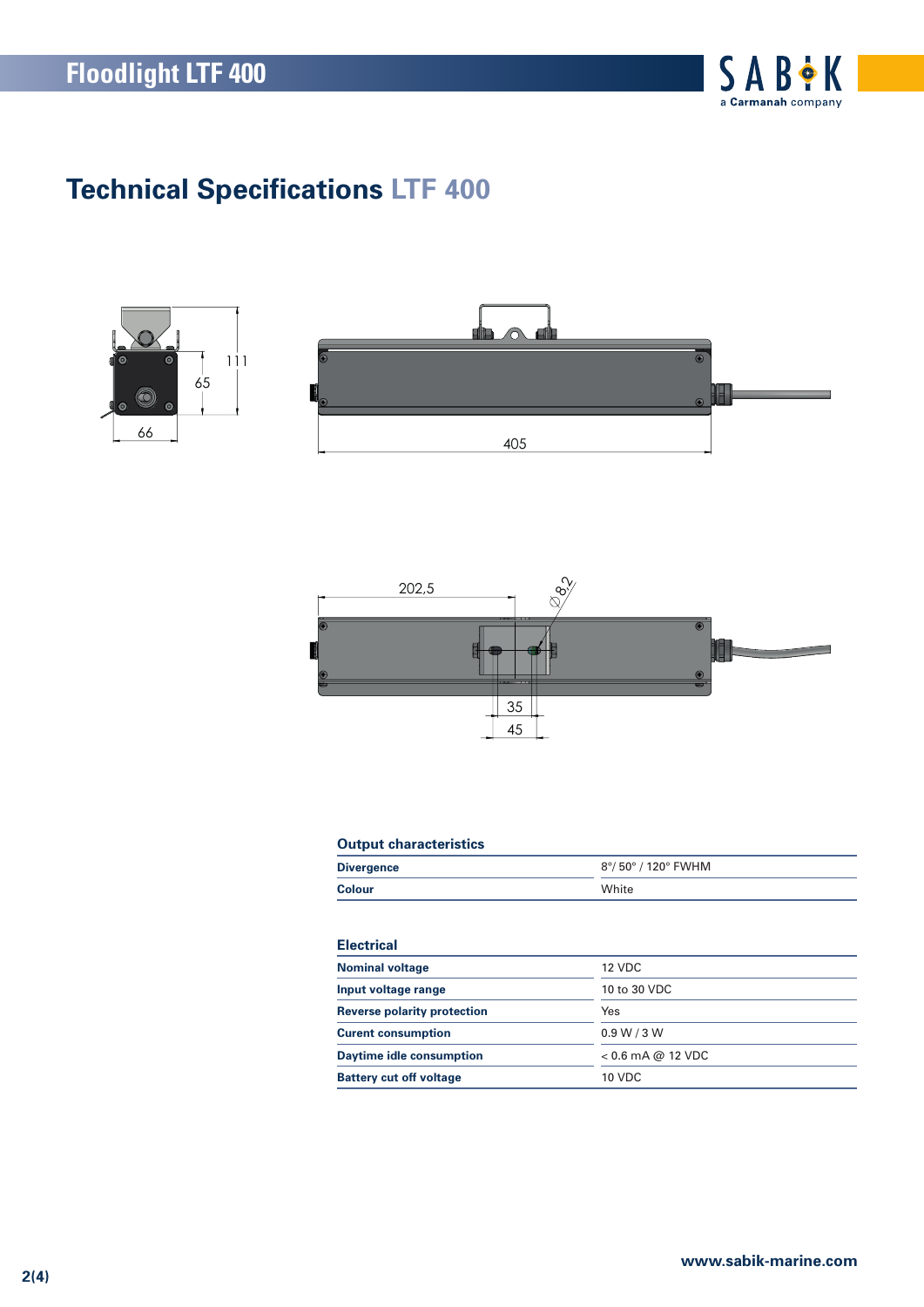

# **Technical Specifications LTF 400**





### **Output characteristics**

| <b>Divergence</b> | 8°/ 50° / 120° FWHM |
|-------------------|---------------------|
| <b>Colour</b>     | White               |

### **Electrical**

| <b>Nominal voltage</b>             | 12 VDC              |
|------------------------------------|---------------------|
| Input voltage range                | 10 to 30 VDC        |
| <b>Reverse polarity protection</b> | Yes                 |
| <b>Curent consumption</b>          | 0.9 W / 3 W         |
| <b>Daytime idle consumption</b>    | $< 0.6$ mA @ 12 VDC |
| <b>Battery cut off voltage</b>     | <b>10 VDC</b>       |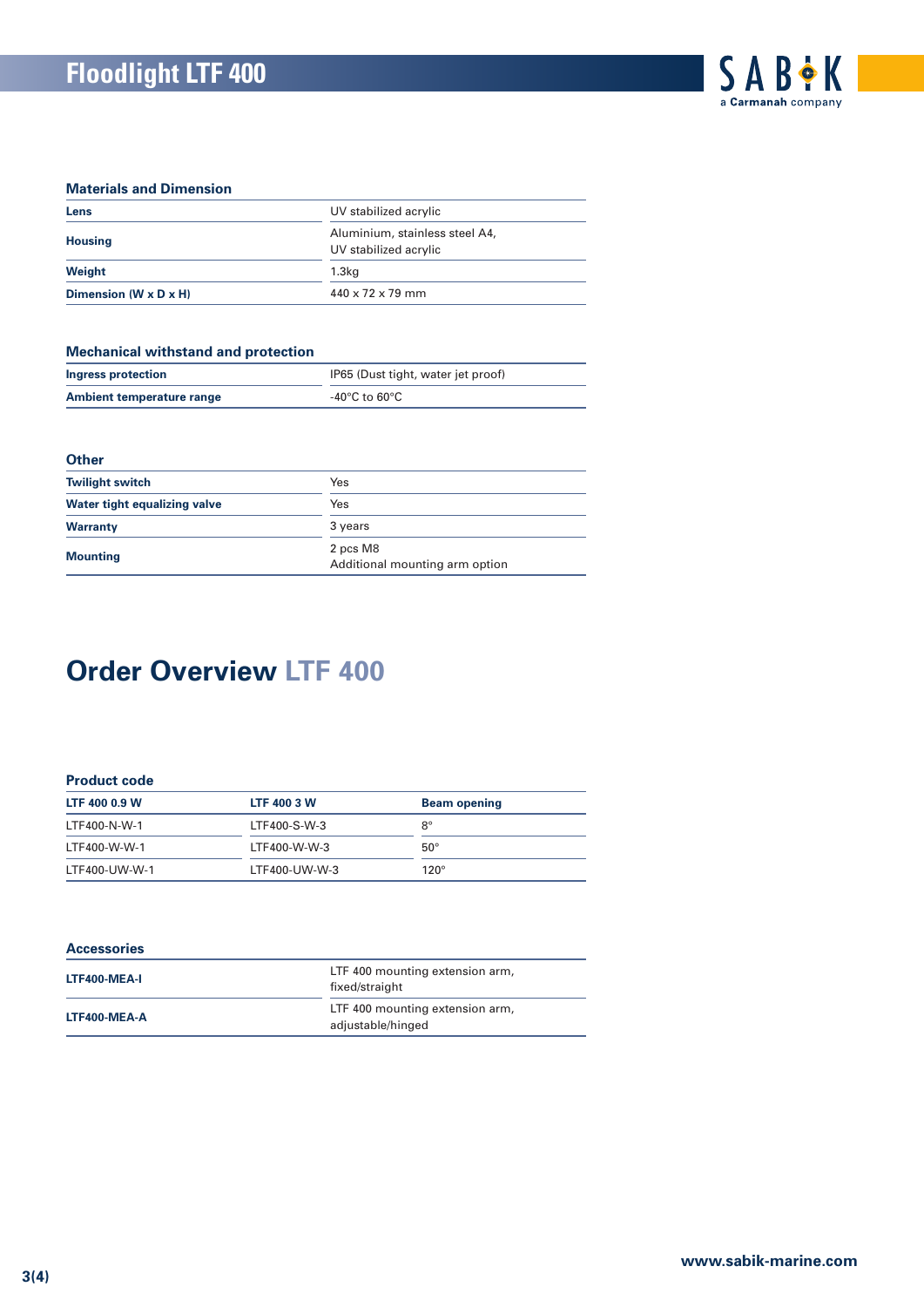#### **Materials and Dimension**

| Lens                              | UV stabilized acrylic<br>Aluminium, stainless steel A4,<br>UV stabilized acrylic |  |
|-----------------------------------|----------------------------------------------------------------------------------|--|
| <b>Housing</b>                    |                                                                                  |  |
| Weight                            | 1.3 <sub>kq</sub>                                                                |  |
| Dimension $(W \times D \times H)$ | $440 \times 72 \times 79$ mm                                                     |  |

#### **Mechanical withstand and protection**

| <u>moonamoar manotana ana protootion</u> |                                    |  |
|------------------------------------------|------------------------------------|--|
| Ingress protection                       | IP65 (Dust tight, water jet proof) |  |
| Ambient temperature range                | -40°C to 60°C.                     |  |

#### **Other**

| <b>Twilight switch</b>       | Yes                                        |
|------------------------------|--------------------------------------------|
| Water tight equalizing valve | Yes                                        |
| <b>Warranty</b>              | 3 years                                    |
| <b>Mounting</b>              | 2 pcs M8<br>Additional mounting arm option |

# **Order Overview LTF 400**

#### **Product code**

| LTF 400 0.9 W | <b>LTF 400 3 W</b> | <b>Beam opening</b> |
|---------------|--------------------|---------------------|
| LTF400-N-W-1  | LTF400-S-W-3       | $8^{\circ}$         |
| LTF400-W-W-1  | LTF400-W-W-3       | $50^\circ$          |
| LTF400-UW-W-1 | LTF400-UW-W-3      | $120^\circ$         |

#### **Accessories**

| LTF400-MEA-I | LTF 400 mounting extension arm,<br>fixed/straight    |
|--------------|------------------------------------------------------|
| LTF400-MEA-A | LTF 400 mounting extension arm,<br>adjustable/hinged |